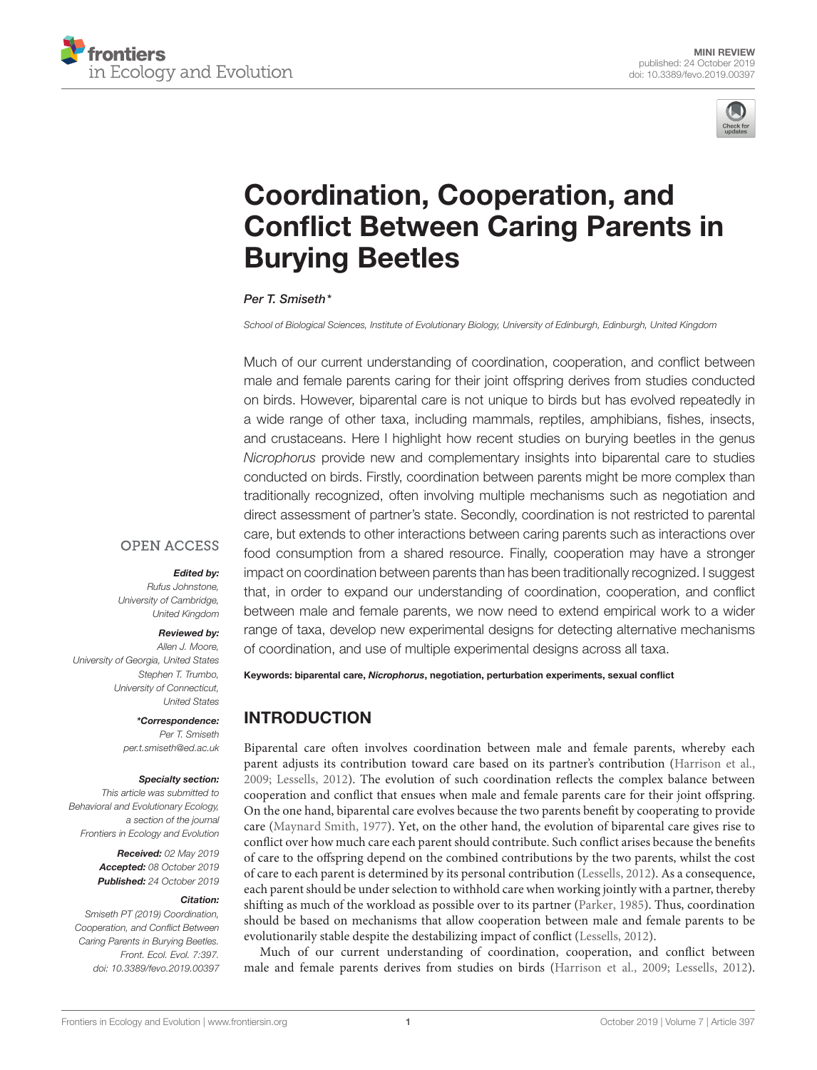



# Coordination, Cooperation, and [Conflict Between Caring Parents in](https://www.frontiersin.org/articles/10.3389/fevo.2019.00397/full) Burying Beetles

[Per T. Smiseth\\*](http://loop.frontiersin.org/people/642191/overview)

*School of Biological Sciences, Institute of Evolutionary Biology, University of Edinburgh, Edinburgh, United Kingdom*

Much of our current understanding of coordination, cooperation, and conflict between male and female parents caring for their joint offspring derives from studies conducted on birds. However, biparental care is not unique to birds but has evolved repeatedly in a wide range of other taxa, including mammals, reptiles, amphibians, fishes, insects, and crustaceans. Here I highlight how recent studies on burying beetles in the genus *Nicrophorus* provide new and complementary insights into biparental care to studies conducted on birds. Firstly, coordination between parents might be more complex than traditionally recognized, often involving multiple mechanisms such as negotiation and direct assessment of partner's state. Secondly, coordination is not restricted to parental care, but extends to other interactions between caring parents such as interactions over food consumption from a shared resource. Finally, cooperation may have a stronger impact on coordination between parents than has been traditionally recognized. I suggest that, in order to expand our understanding of coordination, cooperation, and conflict between male and female parents, we now need to extend empirical work to a wider range of taxa, develop new experimental designs for detecting alternative mechanisms of coordination, and use of multiple experimental designs across all taxa.

### **OPEN ACCESS**

### Edited by:

*Rufus Johnstone, University of Cambridge, United Kingdom*

### Reviewed by:

*Allen J. Moore, University of Georgia, United States Stephen T. Trumbo, University of Connecticut, United States*

> \*Correspondence: *Per T. Smiseth [per.t.smiseth@ed.ac.uk](mailto:per.t.smiseth@ed.ac.uk)*

### Specialty section:

*This article was submitted to Behavioral and Evolutionary Ecology, a section of the journal Frontiers in Ecology and Evolution*

> Received: *02 May 2019* Accepted: *08 October 2019* Published: *24 October 2019*

### Citation:

*Smiseth PT (2019) Coordination, Cooperation, and Conflict Between Caring Parents in Burying Beetles. Front. Ecol. Evol. 7:397. doi: [10.3389/fevo.2019.00397](https://doi.org/10.3389/fevo.2019.00397)* Keywords: biparental care, Nicrophorus, negotiation, perturbation experiments, sexual conflict

# INTRODUCTION

Biparental care often involves coordination between male and female parents, whereby each parent adjusts its contribution toward care based on its partner's contribution [\(Harrison et al.,](#page-4-0) [2009;](#page-4-0) [Lessells, 2012\)](#page-4-1). The evolution of such coordination reflects the complex balance between cooperation and conflict that ensues when male and female parents care for their joint offspring. On the one hand, biparental care evolves because the two parents benefit by cooperating to provide care [\(Maynard Smith, 1977\)](#page-4-2). Yet, on the other hand, the evolution of biparental care gives rise to conflict over how much care each parent should contribute. Such conflict arises because the benefits of care to the offspring depend on the combined contributions by the two parents, whilst the cost of care to each parent is determined by its personal contribution [\(Lessells, 2012\)](#page-4-1). As a consequence, each parent should be under selection to withhold care when working jointly with a partner, thereby shifting as much of the workload as possible over to its partner [\(Parker, 1985\)](#page-4-3). Thus, coordination should be based on mechanisms that allow cooperation between male and female parents to be evolutionarily stable despite the destabilizing impact of conflict [\(Lessells, 2012\)](#page-4-1).

Much of our current understanding of coordination, cooperation, and conflict between male and female parents derives from studies on birds [\(Harrison et al., 2009;](#page-4-0) [Lessells, 2012\)](#page-4-1).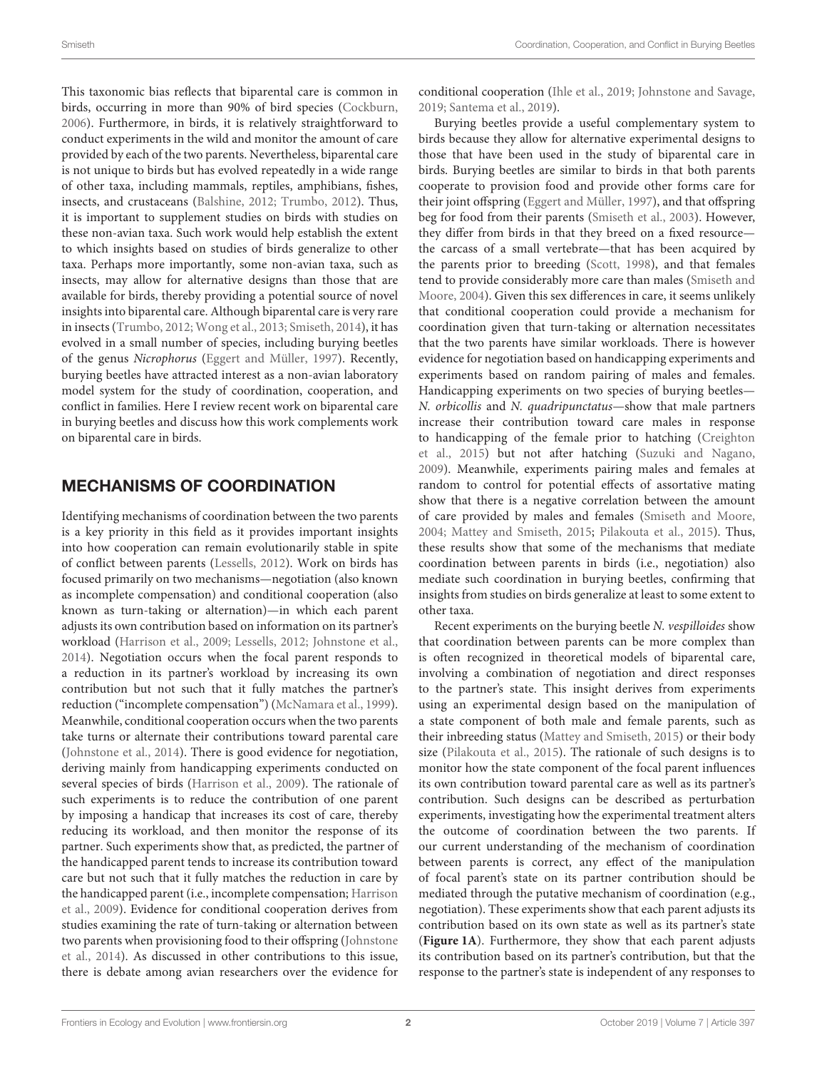This taxonomic bias reflects that biparental care is common in birds, occurring in more than 90% of bird species [\(Cockburn,](#page-4-4) [2006\)](#page-4-4). Furthermore, in birds, it is relatively straightforward to conduct experiments in the wild and monitor the amount of care provided by each of the two parents. Nevertheless, biparental care is not unique to birds but has evolved repeatedly in a wide range of other taxa, including mammals, reptiles, amphibians, fishes, insects, and crustaceans [\(Balshine, 2012;](#page-4-5) [Trumbo, 2012\)](#page-4-6). Thus, it is important to supplement studies on birds with studies on these non-avian taxa. Such work would help establish the extent to which insights based on studies of birds generalize to other taxa. Perhaps more importantly, some non-avian taxa, such as insects, may allow for alternative designs than those that are available for birds, thereby providing a potential source of novel insights into biparental care. Although biparental care is very rare in insects [\(Trumbo, 2012;](#page-4-6) [Wong et al., 2013;](#page-4-7) [Smiseth, 2014\)](#page-4-8), it has evolved in a small number of species, including burying beetles of the genus Nicrophorus [\(Eggert and Müller, 1997\)](#page-4-9). Recently, burying beetles have attracted interest as a non-avian laboratory model system for the study of coordination, cooperation, and conflict in families. Here I review recent work on biparental care in burying beetles and discuss how this work complements work on biparental care in birds.

# MECHANISMS OF COORDINATION

Identifying mechanisms of coordination between the two parents is a key priority in this field as it provides important insights into how cooperation can remain evolutionarily stable in spite of conflict between parents [\(Lessells, 2012\)](#page-4-1). Work on birds has focused primarily on two mechanisms—negotiation (also known as incomplete compensation) and conditional cooperation (also known as turn-taking or alternation)—in which each parent adjusts its own contribution based on information on its partner's workload [\(Harrison et al., 2009;](#page-4-0) [Lessells, 2012;](#page-4-1) [Johnstone et al.,](#page-4-10) [2014\)](#page-4-10). Negotiation occurs when the focal parent responds to a reduction in its partner's workload by increasing its own contribution but not such that it fully matches the partner's reduction ("incomplete compensation") [\(McNamara et al., 1999\)](#page-4-11). Meanwhile, conditional cooperation occurs when the two parents take turns or alternate their contributions toward parental care [\(Johnstone et al., 2014\)](#page-4-10). There is good evidence for negotiation, deriving mainly from handicapping experiments conducted on several species of birds [\(Harrison et al., 2009\)](#page-4-0). The rationale of such experiments is to reduce the contribution of one parent by imposing a handicap that increases its cost of care, thereby reducing its workload, and then monitor the response of its partner. Such experiments show that, as predicted, the partner of the handicapped parent tends to increase its contribution toward care but not such that it fully matches the reduction in care by the handicapped parent (i.e., incomplete compensation; Harrison et al., [2009\)](#page-4-0). Evidence for conditional cooperation derives from studies examining the rate of turn-taking or alternation between two parents when provisioning food to their offspring (Johnstone et al., [2014\)](#page-4-10). As discussed in other contributions to this issue, there is debate among avian researchers over the evidence for conditional cooperation [\(Ihle et al., 2019;](#page-4-12) [Johnstone and Savage,](#page-4-13) [2019;](#page-4-13) [Santema et al., 2019\)](#page-4-14).

Burying beetles provide a useful complementary system to birds because they allow for alternative experimental designs to those that have been used in the study of biparental care in birds. Burying beetles are similar to birds in that both parents cooperate to provision food and provide other forms care for their joint offspring [\(Eggert and Müller, 1997\)](#page-4-9), and that offspring beg for food from their parents [\(Smiseth et al., 2003\)](#page-4-15). However, they differ from birds in that they breed on a fixed resource the carcass of a small vertebrate—that has been acquired by the parents prior to breeding [\(Scott, 1998\)](#page-4-16), and that females tend to provide considerably more care than males (Smiseth and Moore, [2004\)](#page-4-17). Given this sex differences in care, it seems unlikely that conditional cooperation could provide a mechanism for coordination given that turn-taking or alternation necessitates that the two parents have similar workloads. There is however evidence for negotiation based on handicapping experiments and experiments based on random pairing of males and females. Handicapping experiments on two species of burying beetles— N. orbicollis and N. quadripunctatus—show that male partners increase their contribution toward care males in response to handicapping of the female prior to hatching (Creighton et al., [2015\)](#page-4-18) but not after hatching [\(Suzuki and Nagano,](#page-4-19) [2009\)](#page-4-19). Meanwhile, experiments pairing males and females at random to control for potential effects of assortative mating show that there is a negative correlation between the amount of care provided by males and females [\(Smiseth and Moore,](#page-4-17) [2004;](#page-4-17) [Mattey and Smiseth, 2015;](#page-4-20) [Pilakouta et al., 2015\)](#page-4-21). Thus, these results show that some of the mechanisms that mediate coordination between parents in birds (i.e., negotiation) also mediate such coordination in burying beetles, confirming that insights from studies on birds generalize at least to some extent to other taxa.

Recent experiments on the burying beetle N. vespilloides show that coordination between parents can be more complex than is often recognized in theoretical models of biparental care, involving a combination of negotiation and direct responses to the partner's state. This insight derives from experiments using an experimental design based on the manipulation of a state component of both male and female parents, such as their inbreeding status [\(Mattey and Smiseth, 2015\)](#page-4-20) or their body size [\(Pilakouta et al., 2015\)](#page-4-21). The rationale of such designs is to monitor how the state component of the focal parent influences its own contribution toward parental care as well as its partner's contribution. Such designs can be described as perturbation experiments, investigating how the experimental treatment alters the outcome of coordination between the two parents. If our current understanding of the mechanism of coordination between parents is correct, any effect of the manipulation of focal parent's state on its partner contribution should be mediated through the putative mechanism of coordination (e.g., negotiation). These experiments show that each parent adjusts its contribution based on its own state as well as its partner's state (**[Figure 1A](#page-2-0)**). Furthermore, they show that each parent adjusts its contribution based on its partner's contribution, but that the response to the partner's state is independent of any responses to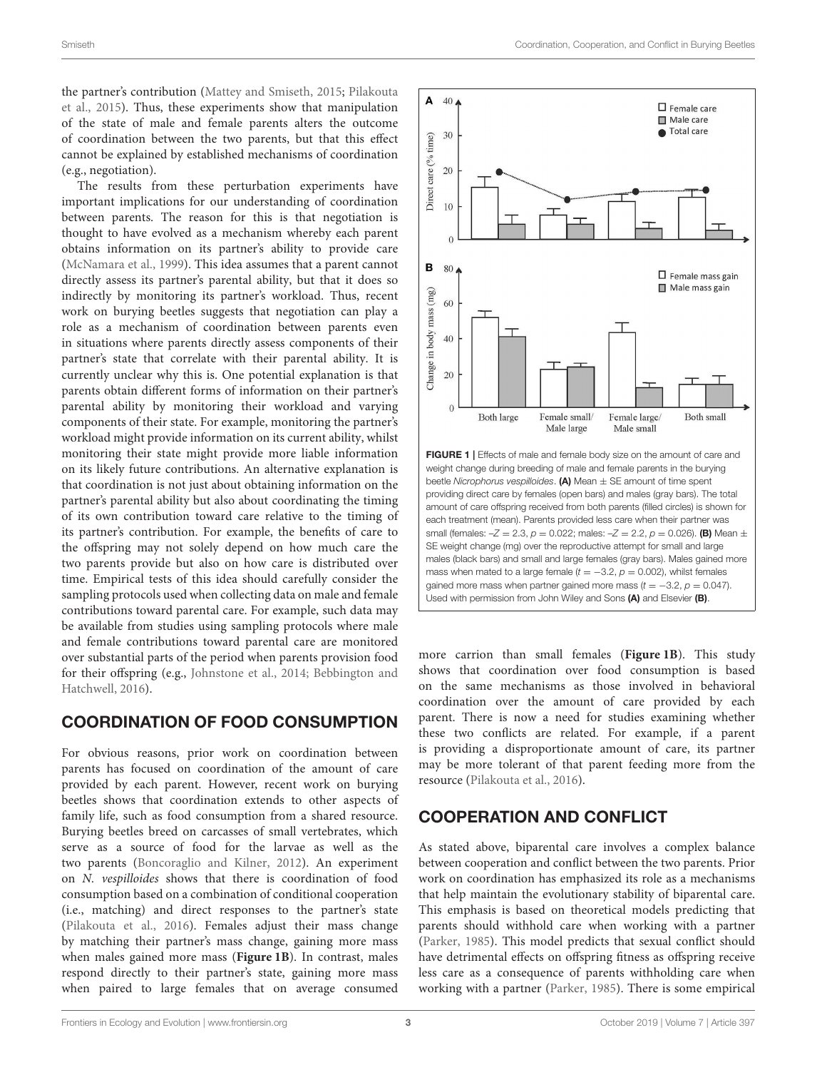the partner's contribution [\(Mattey and Smiseth, 2015;](#page-4-20) Pilakouta et al., [2015\)](#page-4-21). Thus, these experiments show that manipulation of the state of male and female parents alters the outcome of coordination between the two parents, but that this effect cannot be explained by established mechanisms of coordination (e.g., negotiation).

The results from these perturbation experiments have important implications for our understanding of coordination between parents. The reason for this is that negotiation is thought to have evolved as a mechanism whereby each parent obtains information on its partner's ability to provide care [\(McNamara et al., 1999\)](#page-4-11). This idea assumes that a parent cannot directly assess its partner's parental ability, but that it does so indirectly by monitoring its partner's workload. Thus, recent work on burying beetles suggests that negotiation can play a role as a mechanism of coordination between parents even in situations where parents directly assess components of their partner's state that correlate with their parental ability. It is currently unclear why this is. One potential explanation is that parents obtain different forms of information on their partner's parental ability by monitoring their workload and varying components of their state. For example, monitoring the partner's workload might provide information on its current ability, whilst monitoring their state might provide more liable information on its likely future contributions. An alternative explanation is that coordination is not just about obtaining information on the partner's parental ability but also about coordinating the timing of its own contribution toward care relative to the timing of its partner's contribution. For example, the benefits of care to the offspring may not solely depend on how much care the two parents provide but also on how care is distributed over time. Empirical tests of this idea should carefully consider the sampling protocols used when collecting data on male and female contributions toward parental care. For example, such data may be available from studies using sampling protocols where male and female contributions toward parental care are monitored over substantial parts of the period when parents provision food for their offspring (e.g., [Johnstone et al., 2014;](#page-4-10) Bebbington and Hatchwell, [2016\)](#page-4-22).

# COORDINATION OF FOOD CONSUMPTION

For obvious reasons, prior work on coordination between parents has focused on coordination of the amount of care provided by each parent. However, recent work on burying beetles shows that coordination extends to other aspects of family life, such as food consumption from a shared resource. Burying beetles breed on carcasses of small vertebrates, which serve as a source of food for the larvae as well as the two parents [\(Boncoraglio and Kilner, 2012\)](#page-4-23). An experiment on N. vespilloides shows that there is coordination of food consumption based on a combination of conditional cooperation (i.e., matching) and direct responses to the partner's state [\(Pilakouta et al., 2016\)](#page-4-24). Females adjust their mass change by matching their partner's mass change, gaining more mass when males gained more mass (**[Figure 1B](#page-2-0)**). In contrast, males respond directly to their partner's state, gaining more mass when paired to large females that on average consumed



more carrion than small females (**[Figure 1B](#page-2-0)**). This study shows that coordination over food consumption is based on the same mechanisms as those involved in behavioral coordination over the amount of care provided by each parent. There is now a need for studies examining whether these two conflicts are related. For example, if a parent is providing a disproportionate amount of care, its partner may be more tolerant of that parent feeding more from the resource [\(Pilakouta et al., 2016\)](#page-4-24).

<span id="page-2-0"></span>gained more mass when partner gained more mass  $(t = -3.2, p = 0.047)$ . Used with permission from John Wiley and Sons (A) and Elsevier (B).

# COOPERATION AND CONFLICT

As stated above, biparental care involves a complex balance between cooperation and conflict between the two parents. Prior work on coordination has emphasized its role as a mechanisms that help maintain the evolutionary stability of biparental care. This emphasis is based on theoretical models predicting that parents should withhold care when working with a partner [\(Parker, 1985\)](#page-4-3). This model predicts that sexual conflict should have detrimental effects on offspring fitness as offspring receive less care as a consequence of parents withholding care when working with a partner [\(Parker, 1985\)](#page-4-3). There is some empirical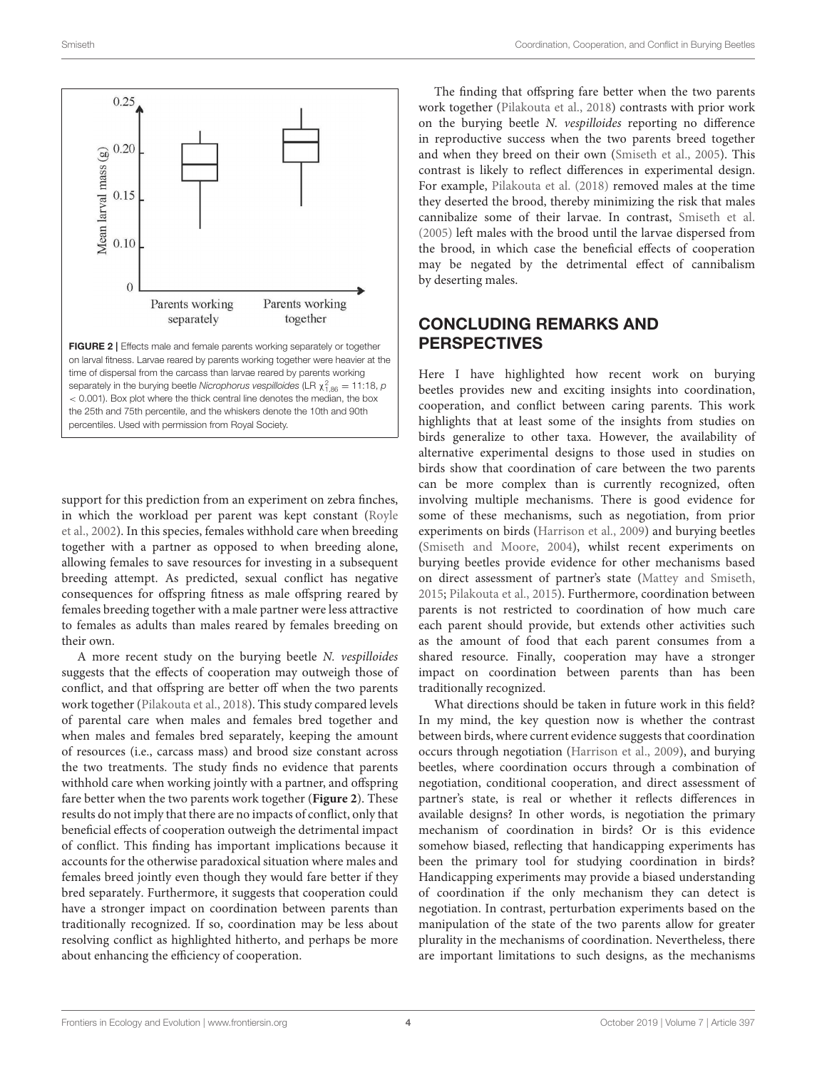

<span id="page-3-0"></span>support for this prediction from an experiment on zebra finches, in which the workload per parent was kept constant (Royle et al., [2002\)](#page-4-25). In this species, females withhold care when breeding together with a partner as opposed to when breeding alone, allowing females to save resources for investing in a subsequent breeding attempt. As predicted, sexual conflict has negative consequences for offspring fitness as male offspring reared by females breeding together with a male partner were less attractive to females as adults than males reared by females breeding on their own.

A more recent study on the burying beetle N. vespilloides suggests that the effects of cooperation may outweigh those of conflict, and that offspring are better off when the two parents work together [\(Pilakouta et al., 2018\)](#page-4-26). This study compared levels of parental care when males and females bred together and when males and females bred separately, keeping the amount of resources (i.e., carcass mass) and brood size constant across the two treatments. The study finds no evidence that parents withhold care when working jointly with a partner, and offspring fare better when the two parents work together (**[Figure 2](#page-3-0)**). These results do not imply that there are no impacts of conflict, only that beneficial effects of cooperation outweigh the detrimental impact of conflict. This finding has important implications because it accounts for the otherwise paradoxical situation where males and females breed jointly even though they would fare better if they bred separately. Furthermore, it suggests that cooperation could have a stronger impact on coordination between parents than traditionally recognized. If so, coordination may be less about resolving conflict as highlighted hitherto, and perhaps be more about enhancing the efficiency of cooperation.

The finding that offspring fare better when the two parents work together [\(Pilakouta et al., 2018\)](#page-4-26) contrasts with prior work on the burying beetle N. vespilloides reporting no difference in reproductive success when the two parents breed together and when they breed on their own [\(Smiseth et al., 2005\)](#page-4-27). This contrast is likely to reflect differences in experimental design. For example, [Pilakouta et al. \(2018\)](#page-4-26) removed males at the time they deserted the brood, thereby minimizing the risk that males cannibalize some of their larvae. In contrast, [Smiseth et al.](#page-4-27) [\(2005\)](#page-4-27) left males with the brood until the larvae dispersed from the brood, in which case the beneficial effects of cooperation may be negated by the detrimental effect of cannibalism by deserting males.

# CONCLUDING REMARKS AND **PERSPECTIVES**

Here I have highlighted how recent work on burying beetles provides new and exciting insights into coordination, cooperation, and conflict between caring parents. This work highlights that at least some of the insights from studies on birds generalize to other taxa. However, the availability of alternative experimental designs to those used in studies on birds show that coordination of care between the two parents can be more complex than is currently recognized, often involving multiple mechanisms. There is good evidence for some of these mechanisms, such as negotiation, from prior experiments on birds [\(Harrison et al., 2009\)](#page-4-0) and burying beetles [\(Smiseth and Moore, 2004\)](#page-4-17), whilst recent experiments on burying beetles provide evidence for other mechanisms based on direct assessment of partner's state [\(Mattey and Smiseth,](#page-4-20) [2015;](#page-4-20) [Pilakouta et al., 2015\)](#page-4-21). Furthermore, coordination between parents is not restricted to coordination of how much care each parent should provide, but extends other activities such as the amount of food that each parent consumes from a shared resource. Finally, cooperation may have a stronger impact on coordination between parents than has been traditionally recognized.

What directions should be taken in future work in this field? In my mind, the key question now is whether the contrast between birds, where current evidence suggests that coordination occurs through negotiation [\(Harrison et al., 2009\)](#page-4-0), and burying beetles, where coordination occurs through a combination of negotiation, conditional cooperation, and direct assessment of partner's state, is real or whether it reflects differences in available designs? In other words, is negotiation the primary mechanism of coordination in birds? Or is this evidence somehow biased, reflecting that handicapping experiments has been the primary tool for studying coordination in birds? Handicapping experiments may provide a biased understanding of coordination if the only mechanism they can detect is negotiation. In contrast, perturbation experiments based on the manipulation of the state of the two parents allow for greater plurality in the mechanisms of coordination. Nevertheless, there are important limitations to such designs, as the mechanisms